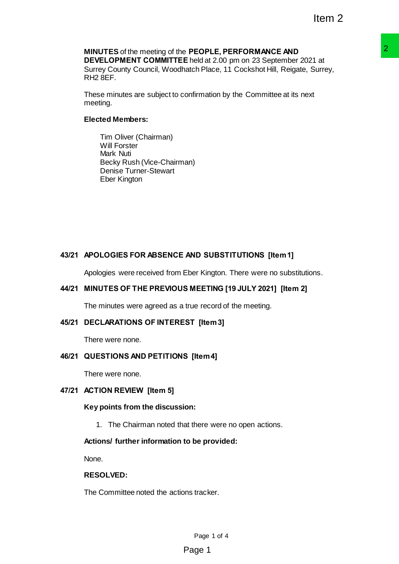# **MINUTES** of the meeting of the **PEOPLE, PERFORMANCE AND**

**DEVELOPMENT COMMITTEE** held at 2.00 pm on 23 September 2021 at Surrey County Council, Woodhatch Place, 11 Cockshot Hill, Reigate, Surrey, RH2 8EF. **PEOPLE, PERFORMANCE AND**<br> **E held at 2.00 pm on 23 September 2021 at<br>
tarth Place, 11 Cockshot Hill, Reigate, Surrey,<br>
confirmation by the Committee at its next<br>
nonfirmation by the Committee at its next<br>
starth Place, 11** 

These minutes are subject to confirmation by the Committee at its next meeting.

## **Elected Members:**

Tim Oliver (Chairman) Will Forster Mark Nuti Becky Rush (Vice-Chairman) Denise Turner-Stewart Eber Kington

## **43/21 APOLOGIES FOR ABSENCE AND SUBSTITUTIONS [Item 1]**

Apologies were received from Eber Kington. There were no substitutions.

## **44/21 MINUTES OF THE PREVIOUS MEETING [19 JULY 2021] [Item 2]**

The minutes were agreed as a true record of the meeting.

## **45/21 DECLARATIONS OF INTEREST [Item 3]**

There were none.

## **46/21 QUESTIONS AND PETITIONS [Item 4]**

There were none.

## **47/21 ACTION REVIEW [Item 5]**

### **Key points from the discussion:**

1. The Chairman noted that there were no open actions.

### **Actions/ further information to be provided:**

None.

## **RESOLVED:**

The Committee noted the actions tracker.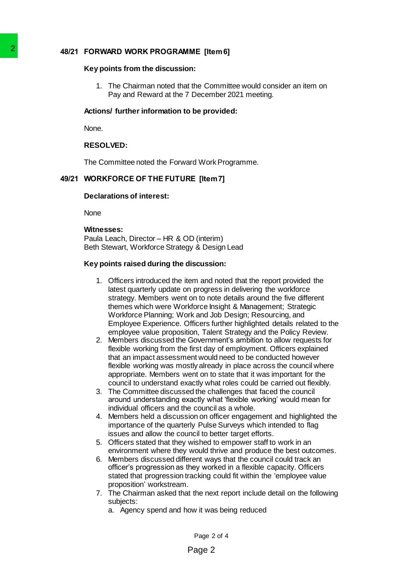## **48/21 FORWARD WORK PROGRAMME [Item 6]**

### **Key points from the discussion:**

1. The Chairman noted that the Committee would consider an item on Pay and Reward at the 7 December 2021 meeting.

## **Actions/ further information to be provided:**

None.

## **RESOLVED:**

The Committee noted the Forward Work Programme.

## **49/21 WORKFORCE OF THE FUTURE [Item 7]**

### **Declarations of interest:**

**None** 

### **Witnesses:**

Paula Leach, Director – HR & OD (interim) Beth Stewart, Workforce Strategy & Design Lead

## **Key points raised during the discussion:**

- 1. Officers introduced the item and noted that the report provided the latest quarterly update on progress in delivering the workforce strategy. Members went on to note details around the five different themes which were Workforce Insight & Management; Strategic Workforce Planning; Work and Job Design; Resourcing, and Employee Experience. Officers further highlighted details related to the employee value proposition, Talent Strategy and the Policy Review. 2<br>
48/21 FORWARD WORK PROGRAMME [Ite<br>
Key points from the discussion:<br>
1. The Chairman noted hat the Coordinal<br>
Pay and Reward at the 7 December of the Union of Internation to be pro-<br>
None.<br>
RESOLVED:<br>
The Committee noted
	- 2. Members discussed the Government's ambition to allow requests for flexible working from the first day of employment. Officers explained that an impact assessment would need to be conducted however flexible working was mostly already in place across the council where appropriate. Members went on to state that it was important for the council to understand exactly what roles could be carried out flexibly.
	- 3. The Committee discussed the challenges that faced the council around understanding exactly what 'flexible working' would mean for individual officers and the council as a whole.
	- 4. Members held a discussion on officer engagement and highlighted the importance of the quarterly Pulse Surveys which intended to flag issues and allow the council to better target efforts.
	- 5. Officers stated that they wished to empower staff to work in an environment where they would thrive and produce the best outcomes.
	- 6. Members discussed different ways that the council could track an officer's progression as they worked in a flexible capacity. Officers stated that progression tracking could fit within the 'employee value proposition' workstream.
	- 7. The Chairman asked that the next report include detail on the following subjects:
		- a. Agency spend and how it was being reduced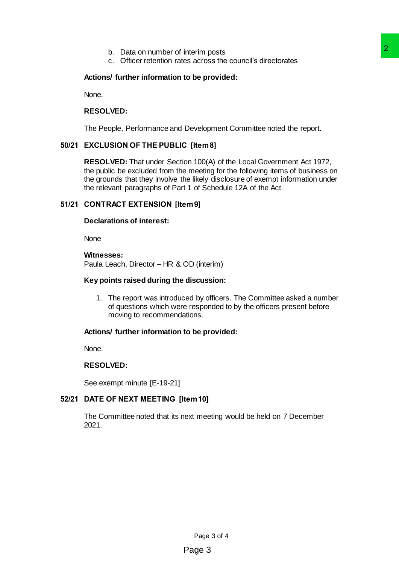- b. Data on number of interim posts
- c. Officer retention rates across the council's directorates

## **Actions/ further information to be provided:**

None.

### **RESOLVED:**

The People, Performance and Development Committee noted the report.

## **50/21 EXCLUSION OF THE PUBLIC [Item 8]**

**RESOLVED:** That under Section 100(A) of the Local Government Act 1972, the public be excluded from the meeting for the following items of business on the grounds that they involve the likely disclosure of exempt information under the relevant paragraphs of Part 1 of Schedule 12A of the Act. interim posts<br>across the council's directorates<br>across the council's directorates<br>Development Committee noted the report.<br>Premaring for the following items of business on<br>mellikely disclosure of exempt information under<br> $P$ 

## **51/21 CONTRACT EXTENSION [Item 9]**

#### **Declarations of interest:**

None

## **Witnesses:**

Paula Leach, Director – HR & OD (interim)

#### **Key points raised during the discussion:**

1. The report was introduced by officers. The Committee asked a number of questions which were responded to by the officers present before moving to recommendations.

#### **Actions/ further information to be provided:**

None.

## **RESOLVED:**

See exempt minute [E-19-21]

## **52/21 DATE OF NEXT MEETING [Item 10]**

The Committee noted that its next meeting would be held on 7 December 2021.